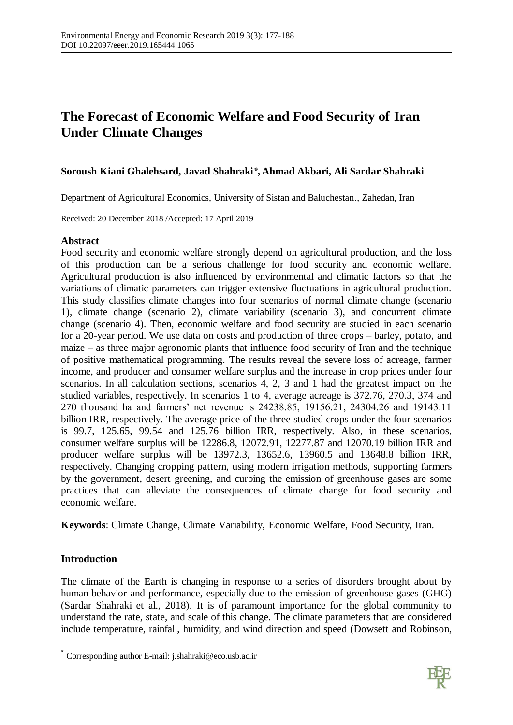# **The Forecast of Economic Welfare and Food Security of Iran Under Climate Changes**

# **Soroush Kiani Ghalehsard, Javad Shahraki\* , Ahmad Akbari, Ali Sardar Shahraki**

Department of Agricultural Economics, University of Sistan and Baluchestan., Zahedan, Iran

Received: 20 December 2018 /Accepted: 17 April 2019

# **Abstract**

Food security and economic welfare strongly depend on agricultural production, and the loss of this production can be a serious challenge for food security and economic welfare. Agricultural production is also influenced by environmental and climatic factors so that the variations of climatic parameters can trigger extensive fluctuations in agricultural production. This study classifies climate changes into four scenarios of normal climate change (scenario 1), climate change (scenario 2), climate variability (scenario 3), and concurrent climate change (scenario 4). Then, economic welfare and food security are studied in each scenario for a 20-year period. We use data on costs and production of three crops – barley, potato, and maize – as three major agronomic plants that influence food security of Iran and the technique of positive mathematical programming. The results reveal the severe loss of acreage, farmer income, and producer and consumer welfare surplus and the increase in crop prices under four scenarios. In all calculation sections, scenarios 4, 2, 3 and 1 had the greatest impact on the studied variables, respectively. In scenarios 1 to 4, average acreage is 372.76, 270.3, 374 and 270 thousand ha and farmers' net revenue is 24238.85, 19156.21, 24304.26 and 19143.11 billion IRR, respectively. The average price of the three studied crops under the four scenarios is 99.7, 125.65, 99.54 and 125.76 billion IRR, respectively. Also, in these scenarios, consumer welfare surplus will be 12286.8, 12072.91, 12277.87 and 12070.19 billion IRR and producer welfare surplus will be 13972.3, 13652.6, 13960.5 and 13648.8 billion IRR, respectively. Changing cropping pattern, using modern irrigation methods, supporting farmers by the government, desert greening, and curbing the emission of greenhouse gases are some practices that can alleviate the consequences of climate change for food security and economic welfare.

**Keywords**: Climate Change, Climate Variability, Economic Welfare, Food Security, Iran.

# **Introduction**

The climate of the Earth is changing in response to a series of disorders brought about by human behavior and performance, especially due to the emission of greenhouse gases (GHG) (Sardar Shahraki et al., 2018). It is of paramount importance for the global community to understand the rate, state, and scale of this change. The climate parameters that are considered include temperature, rainfall, humidity, and wind direction and speed (Dowsett and Robinson,



Corresponding author E-mail: j.shahraki@eco.usb.ac.ir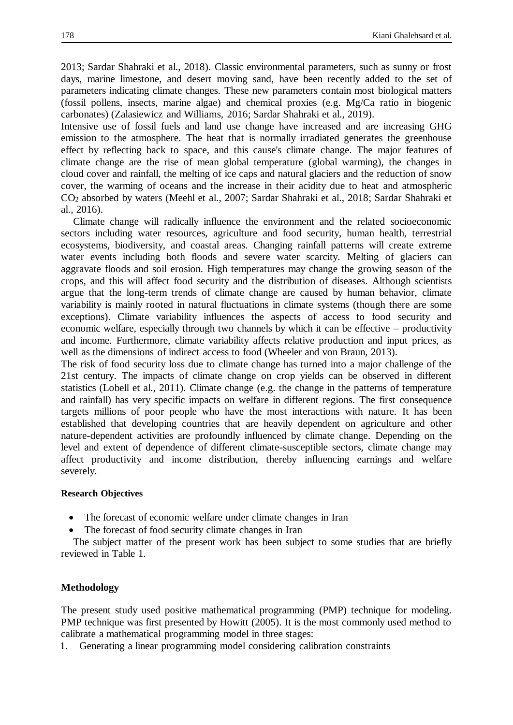2013; Sardar Shahraki et al., 2018). Classic environmental parameters, such as sunny or frost days, marine limestone, and desert moving sand, have been recently added to the set of parameters indicating climate changes. These new parameters contain most biological matters (fossil pollens, insects, marine algae) and chemical proxies (e.g. Mg/Ca ratio in biogenic carbonates) (Zalasiewicz and Williams, 2016; Sardar Shahraki et al., 2019).

Intensive use of fossil fuels and land use change have increased and are increasing GHG emission to the atmosphere. The heat that is normally irradiated generates the greenhouse effect by reflecting back to space, and this cause's climate change. The major features of climate change are the rise of mean global temperature (global warming), the changes in cloud cover and rainfall, the melting of ice caps and natural glaciers and the reduction of snow cover, the warming of oceans and the increase in their acidity due to heat and atmospheric CO<sup>2</sup> absorbed by waters (Meehl et al., 2007; Sardar Shahraki et al., 2018; Sardar Shahraki et al., 2016).

Climate change will radically influence the environment and the related socioeconomic sectors including water resources, agriculture and food security, human health, terrestrial ecosystems, biodiversity, and coastal areas. Changing rainfall patterns will create extreme water events including both floods and severe water scarcity. Melting of glaciers can aggravate floods and soil erosion. High temperatures may change the growing season of the crops, and this will affect food security and the distribution of diseases. Although scientists argue that the long-term trends of climate change are caused by human behavior, climate variability is mainly rooted in natural fluctuations in climate systems (though there are some exceptions). Climate variability influences the aspects of access to food security and economic welfare, especially through two channels by which it can be effective – productivity and income. Furthermore, climate variability affects relative production and input prices, as well as the dimensions of indirect access to food (Wheeler and von Braun, 2013).

The risk of food security loss due to climate change has turned into a major challenge of the 21st century. The impacts of climate change on crop yields can be observed in different statistics (Lobell et al., 2011). Climate change (e.g. the change in the patterns of temperature and rainfall) has very specific impacts on welfare in different regions. The first consequence targets millions of poor people who have the most interactions with nature. It has been established that developing countries that are heavily dependent on agriculture and other nature-dependent activities are profoundly influenced by climate change. Depending on the level and extent of dependence of different climate-susceptible sectors, climate change may affect productivity and income distribution, thereby influencing earnings and welfare severely.

# **Research Objectives**

- The forecast of economic welfare under climate changes in Iran
- The forecast of food security climate changes in Iran

The subject matter of the present work has been subject to some studies that are briefly reviewed in Table 1.

## **Methodology**

The present study used positive mathematical programming (PMP) technique for modeling. PMP technique was first presented by Howitt (2005). It is the most commonly used method to calibrate a mathematical programming model in three stages:

1. Generating a linear programming model considering calibration constraints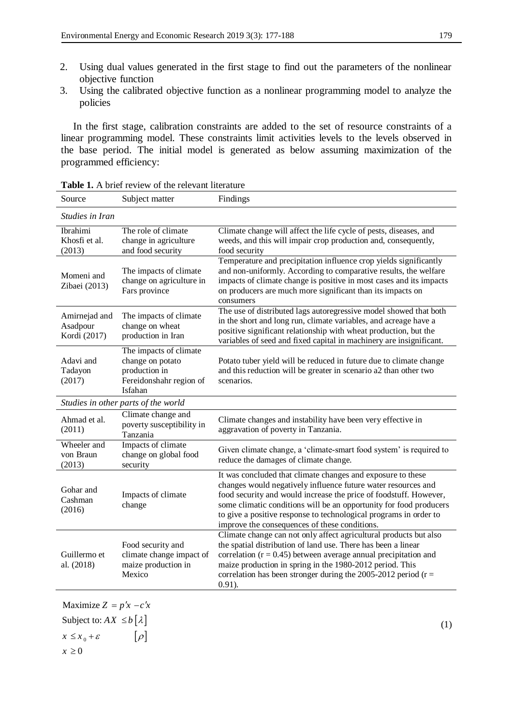- 2. Using dual values generated in the first stage to find out the parameters of the nonlinear objective function
- 3. Using the calibrated objective function as a nonlinear programming model to analyze the policies

In the first stage, calibration constraints are added to the set of resource constraints of a linear programming model. These constraints limit activities levels to the levels observed in the base period. The initial model is generated as below assuming maximization of the programmed efficiency:

| Source                                    | Subject matter                                                                                    | Findings                                                                                                                                                                                                                                                                                                                                                                                      |  |  |  |  |  |
|-------------------------------------------|---------------------------------------------------------------------------------------------------|-----------------------------------------------------------------------------------------------------------------------------------------------------------------------------------------------------------------------------------------------------------------------------------------------------------------------------------------------------------------------------------------------|--|--|--|--|--|
| Studies in Iran                           |                                                                                                   |                                                                                                                                                                                                                                                                                                                                                                                               |  |  |  |  |  |
| Ibrahimi<br>Khosfi et al.<br>(2013)       | The role of climate<br>change in agriculture<br>and food security                                 | Climate change will affect the life cycle of pests, diseases, and<br>weeds, and this will impair crop production and, consequently,<br>food security                                                                                                                                                                                                                                          |  |  |  |  |  |
| Momeni and<br>Zibaei (2013)               | The impacts of climate<br>change on agriculture in<br>Fars province                               | Temperature and precipitation influence crop yields significantly<br>and non-uniformly. According to comparative results, the welfare<br>impacts of climate change is positive in most cases and its impacts<br>on producers are much more significant than its impacts on<br>consumers                                                                                                       |  |  |  |  |  |
| Amirnejad and<br>Asadpour<br>Kordi (2017) | The impacts of climate<br>change on wheat<br>production in Iran                                   | The use of distributed lags autoregressive model showed that both<br>in the short and long run, climate variables, and acreage have a<br>positive significant relationship with wheat production, but the<br>variables of seed and fixed capital in machinery are insignificant.                                                                                                              |  |  |  |  |  |
| Adavi and<br>Tadayon<br>(2017)            | The impacts of climate<br>change on potato<br>production in<br>Fereidonshahr region of<br>Isfahan | Potato tuber yield will be reduced in future due to climate change<br>and this reduction will be greater in scenario a2 than other two<br>scenarios.                                                                                                                                                                                                                                          |  |  |  |  |  |
|                                           | Studies in other parts of the world                                                               |                                                                                                                                                                                                                                                                                                                                                                                               |  |  |  |  |  |
| Ahmad et al.<br>(2011)                    | Climate change and<br>poverty susceptibility in<br>Tanzania                                       | Climate changes and instability have been very effective in<br>aggravation of poverty in Tanzania.                                                                                                                                                                                                                                                                                            |  |  |  |  |  |
| Wheeler and<br>von Braun<br>(2013)        | Impacts of climate<br>change on global food<br>security                                           | Given climate change, a 'climate-smart food system' is required to<br>reduce the damages of climate change.                                                                                                                                                                                                                                                                                   |  |  |  |  |  |
| Gohar and<br>Cashman<br>(2016)            | Impacts of climate<br>change                                                                      | It was concluded that climate changes and exposure to these<br>changes would negatively influence future water resources and<br>food security and would increase the price of foodstuff. However,<br>some climatic conditions will be an opportunity for food producers<br>to give a positive response to technological programs in order to<br>improve the consequences of these conditions. |  |  |  |  |  |
| Guillermo et<br>al. (2018)                | Food security and<br>climate change impact of<br>maize production in<br>Mexico                    | Climate change can not only affect agricultural products but also<br>the spatial distribution of land use. There has been a linear<br>correlation ( $r = 0.45$ ) between average annual precipitation and<br>maize production in spring in the 1980-2012 period. This<br>correlation has been stronger during the 2005-2012 period ( $r =$<br>$0.91$ ).                                       |  |  |  |  |  |

**Table 1.** A brief review of the relevant literature

Subject to:  $AX \leq b \left[ \lambda \right]$  $x \leq x_0 + \varepsilon$   $[\rho]$ Maximize  $Z = p'x - c'x$  $x \geq 0$  $[\rho]$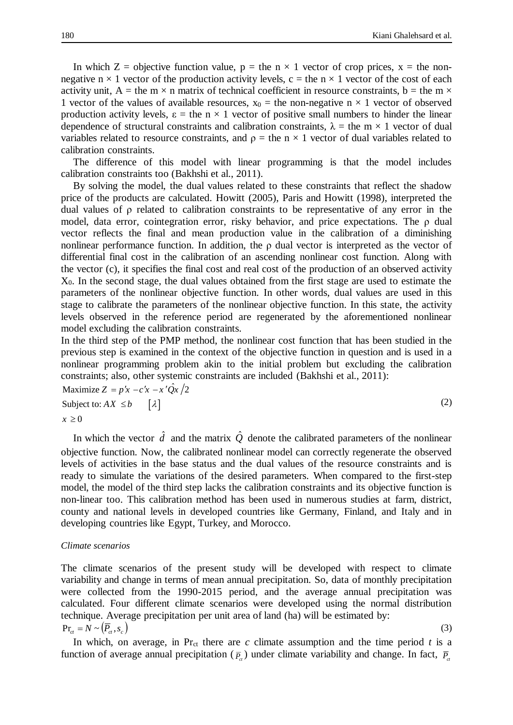In which  $Z =$  objective function value,  $p =$  the n  $\times$  1 vector of crop prices,  $x =$  the nonnegative  $n \times 1$  vector of the production activity levels, c = the  $n \times 1$  vector of the cost of each activity unit, A = the m  $\times$  n matrix of technical coefficient in resource constraints, b = the m  $\times$ 1 vector of the values of available resources,  $x_0$  = the non-negative n  $\times$  1 vector of observed production activity levels,  $\varepsilon$  = the n  $\times$  1 vector of positive small numbers to hinder the linear dependence of structural constraints and calibration constraints,  $\lambda =$  the m  $\times$  1 vector of dual variables related to resource constraints, and  $\rho =$  the n  $\times$  1 vector of dual variables related to calibration constraints.

The difference of this model with linear programming is that the model includes calibration constraints too (Bakhshi et al., 2011).

By solving the model, the dual values related to these constraints that reflect the shadow price of the products are calculated. Howitt (2005), Paris and Howitt (1998), interpreted the dual values of ρ related to calibration constraints to be representative of any error in the model, data error, cointegration error, risky behavior, and price expectations. The ρ dual vector reflects the final and mean production value in the calibration of a diminishing nonlinear performance function. In addition, the ρ dual vector is interpreted as the vector of differential final cost in the calibration of an ascending nonlinear cost function. Along with the vector (c), it specifies the final cost and real cost of the production of an observed activity X0. In the second stage, the dual values obtained from the first stage are used to estimate the parameters of the nonlinear objective function. In other words, dual values are used in this stage to calibrate the parameters of the nonlinear objective function. In this state, the activity levels observed in the reference period are regenerated by the aforementioned nonlinear model excluding the calibration constraints.

In the third step of the PMP method, the nonlinear cost function that has been studied in the previous step is examined in the context of the objective function in question and is used in a nonlinear programming problem akin to the initial problem but excluding the calibration constraints; also, other systemic constraints are included (Bakhshi et al., 2011):

$$
\begin{aligned}\n\text{Maximize } Z &= p'x - c'x - x'\hat{Q}x/2\\
\text{Subject to: } AX \leq b \qquad [\lambda] \\
x \geq 0\n\end{aligned} \tag{2}
$$

In which the vector  $\hat{d}$  and the matrix  $\hat{Q}$  denote the calibrated parameters of the nonlinear objective function. Now, the calibrated nonlinear model can correctly regenerate the observed levels of activities in the base status and the dual values of the resource constraints and is ready to simulate the variations of the desired parameters. When compared to the first-step model, the model of the third step lacks the calibration constraints and its objective function is non-linear too. This calibration method has been used in numerous studies at farm, district, county and national levels in developed countries like Germany, Finland, and Italy and in developing countries like Egypt, Turkey, and Morocco.

#### *Climate scenarios*

The climate scenarios of the present study will be developed with respect to climate variability and change in terms of mean annual precipitation. So, data of monthly precipitation were collected from the 1990-2015 period, and the average annual precipitation was calculated. Four different climate scenarios were developed using the normal distribution technique. Average precipitation per unit area of land (ha) will be estimated by:  $Pr_{ct} = N \sim (\overline{P}_{ct}, s_{c})$ (3)

In which, on average, in  $Pr_{ct}$  there are *c* climate assumption and the time period *t* is a function of average annual precipitation ( $\bar{P}_{\alpha}$ ) under climate variability and change. In fact,  $\bar{P}_{\alpha}$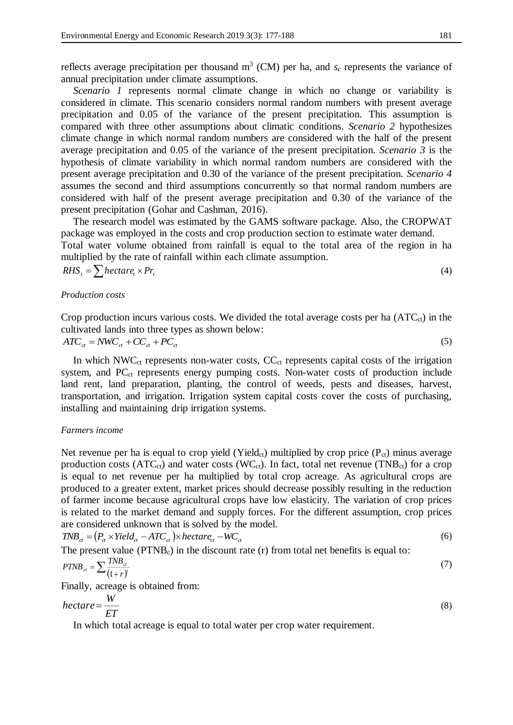reflects average precipitation per thousand  $m<sup>3</sup>$  (CM) per ha, and  $s<sub>c</sub>$  represents the variance of annual precipitation under climate assumptions.

*Scenario 1* represents normal climate change in which no change or variability is considered in climate. This scenario considers normal random numbers with present average precipitation and 0.05 of the variance of the present precipitation. This assumption is compared with three other assumptions about climatic conditions. *Scenario 2* hypothesizes climate change in which normal random numbers are considered with the half of the present average precipitation and 0.05 of the variance of the present precipitation. *Scenario 3* is the hypothesis of climate variability in which normal random numbers are considered with the present average precipitation and 0.30 of the variance of the present precipitation. *Scenario 4* assumes the second and third assumptions concurrently so that normal random numbers are considered with half of the present average precipitation and 0.30 of the variance of the present precipitation (Gohar and Cashman, 2016).

The research model was estimated by the GAMS software package. Also, the CROPWAT package was employed in the costs and crop production section to estimate water demand. Total water volume obtained from rainfall is equal to the total area of the region in ha multiplied by the rate of rainfall within each climate assumption.

$$
RHS_t = \sum \text{hectar}_t \times \text{Pr}_t \tag{4}
$$

#### *Production costs*

Crop production incurs various costs. We divided the total average costs per ha  $(ATC_{ct})$  in the cultivated lands into three types as shown below:

$$
ATC_{\alpha} = NWC_{\alpha} + CC_{\alpha} + PC_{\alpha} \tag{5}
$$

In which  $NWC_{ct}$  represents non-water costs,  $CC_{ct}$  represents capital costs of the irrigation system, and  $PC<sub>ct</sub>$  represents energy pumping costs. Non-water costs of production include land rent, land preparation, planting, the control of weeds, pests and diseases, harvest, transportation, and irrigation. Irrigation system capital costs cover the costs of purchasing, installing and maintaining drip irrigation systems.

## *Farmers income*

Net revenue per ha is equal to crop yield (Yield<sub>ct</sub>) multiplied by crop price ( $P_{ct}$ ) minus average production costs (ATC<sub>ct</sub>) and water costs (WC<sub>ct</sub>). In fact, total net revenue (TNB<sub>ct</sub>) for a crop is equal to net revenue per ha multiplied by total crop acreage. As agricultural crops are produced to a greater extent, market prices should decrease possibly resulting in the reduction of farmer income because agricultural crops have low elasticity. The variation of crop prices is related to the market demand and supply forces. For the different assumption, crop prices are considered unknown that is solved by the model.

$$
TNB_{ct} = (P_{ct} \times Yield_{ct} - ATC_{ct}) \times hectare_{ct} - WC_{ct}
$$
\n
$$
(6)
$$

The present value ( $PTNB<sub>c</sub>$ ) in the discount rate (r) from total net benefits is equal to:

$$
PTNB_{\alpha} = \sum \frac{TNB_{\alpha}}{(1+r)^{r}} \tag{7}
$$

Finally, acreage is obtained from:

$$
hectare = \frac{W}{ET} \tag{8}
$$

In which total acreage is equal to total water per crop water requirement.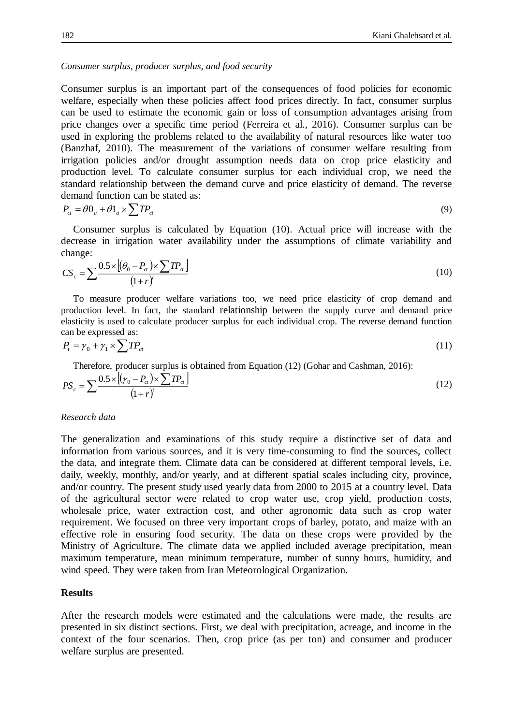#### *Consumer surplus, producer surplus, and food security*

Consumer surplus is an important part of the consequences of food policies for economic welfare, especially when these policies affect food prices directly. In fact, consumer surplus can be used to estimate the economic gain or loss of consumption advantages arising from price changes over a specific time period (Ferreira et al., 2016). Consumer surplus can be used in exploring the problems related to the availability of natural resources like water too (Banzhaf, 2010). The measurement of the variations of consumer welfare resulting from irrigation policies and/or drought assumption needs data on crop price elasticity and production level. To calculate consumer surplus for each individual crop, we need the standard relationship between the demand curve and price elasticity of demand. The reverse demand function can be stated as:

$$
P_{\alpha} = \theta 0_a + \theta 1_a \times \sum T P_{\alpha} \tag{9}
$$

Consumer surplus is calculated by Equation (10). Actual price will increase with the decrease in irrigation water availability under the assumptions of climate variability and change:

$$
CS_c = \sum \frac{0.5 \times \left[ (\theta_0 - P_{ct}) \times \sum TP_{ct} \right]}{(1+r)^t}
$$
\n(10)

To measure producer welfare variations too, we need price elasticity of crop demand and production level. In fact, the standard relationship between the supply curve and demand price elasticity is used to calculate producer surplus for each individual crop. The reverse demand function can be expressed as:

$$
P_t = \gamma_0 + \gamma_1 \times \sum T P_{ct} \tag{11}
$$

Therefore, producer surplus is obtained from Equation (12) (Gohar and Cashman, 2016):

$$
PS_c = \sum \frac{0.5 \times \left[ (\gamma_0 - P_{ct}) \times \sum TP_{ct} \right]}{(1+r)^t}
$$
\n(12)

#### *Research data*

The generalization and examinations of this study require a distinctive set of data and information from various sources, and it is very time-consuming to find the sources, collect the data, and integrate them. Climate data can be considered at different temporal levels, i.e. daily, weekly, monthly, and/or yearly, and at different spatial scales including city, province, and/or country. The present study used yearly data from 2000 to 2015 at a country level. Data of the agricultural sector were related to crop water use, crop yield, production costs, wholesale price, water extraction cost, and other agronomic data such as crop water requirement. We focused on three very important crops of barley, potato, and maize with an effective role in ensuring food security. The data on these crops were provided by the Ministry of Agriculture. The climate data we applied included average precipitation, mean maximum temperature, mean minimum temperature, number of sunny hours, humidity, and wind speed. They were taken from Iran Meteorological Organization.

# **Results**

After the research models were estimated and the calculations were made, the results are presented in six distinct sections. First, we deal with precipitation, acreage, and income in the context of the four scenarios. Then, crop price (as per ton) and consumer and producer welfare surplus are presented.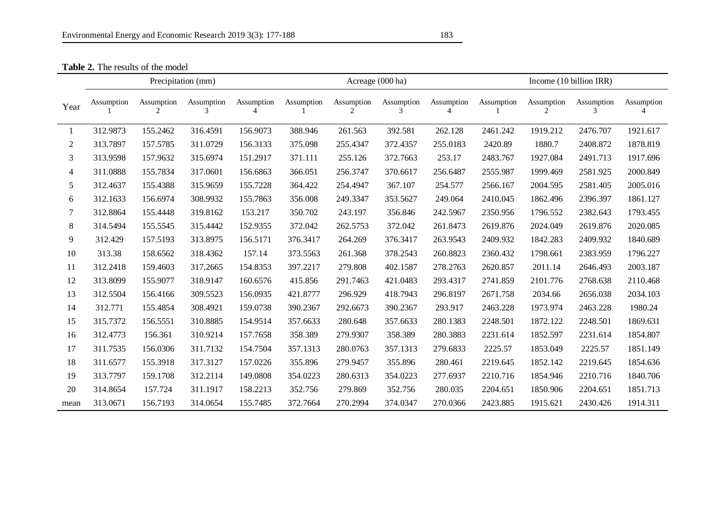**Table 2.** The results of the model

|                | Precipitation (mm) |                 |                 |                 | Acreage (000 ha) |                 |                 |            | Income (10 billion IRR) |            |            |            |
|----------------|--------------------|-----------------|-----------------|-----------------|------------------|-----------------|-----------------|------------|-------------------------|------------|------------|------------|
| Year           | Assumption         | Assumption<br>2 | Assumption<br>3 | Assumption<br>4 | Assumption       | Assumption<br>2 | Assumption<br>3 | Assumption | Assumption              | Assumption | Assumption | Assumption |
| 1              | 312.9873           | 155.2462        | 316.4591        | 156.9073        | 388.946          | 261.563         | 392.581         | 262.128    | 2461.242                | 1919.212   | 2476.707   | 1921.617   |
| 2              | 313.7897           | 157.5785        | 311.0729        | 156.3133        | 375.098          | 255.4347        | 372.4357        | 255.0183   | 2420.89                 | 1880.7     | 2408.872   | 1878.819   |
| 3              | 313.9598           | 157.9632        | 315.6974        | 151.2917        | 371.111          | 255.126         | 372.7663        | 253.17     | 2483.767                | 1927.084   | 2491.713   | 1917.696   |
| $\overline{4}$ | 311.0888           | 155.7834        | 317.0601        | 156.6863        | 366.051          | 256.3747        | 370.6617        | 256.6487   | 2555.987                | 1999.469   | 2581.925   | 2000.849   |
| 5              | 312.4637           | 155.4388        | 315.9659        | 155.7228        | 364.422          | 254.4947        | 367.107         | 254.577    | 2566.167                | 2004.595   | 2581.405   | 2005.016   |
| 6              | 312.1633           | 156.6974        | 308.9932        | 155.7863        | 356.008          | 249.3347        | 353.5627        | 249.064    | 2410.045                | 1862.496   | 2396.397   | 1861.127   |
| 7              | 312.8864           | 155.4448        | 319.8162        | 153.217         | 350.702          | 243.197         | 356.846         | 242.5967   | 2350.956                | 1796.552   | 2382.643   | 1793.455   |
| 8              | 314.5494           | 155.5545        | 315.4442        | 152.9355        | 372.042          | 262.5753        | 372.042         | 261.8473   | 2619.876                | 2024.049   | 2619.876   | 2020.085   |
| 9              | 312.429            | 157.5193        | 313.8975        | 156.5171        | 376.3417         | 264.269         | 376.3417        | 263.9543   | 2409.932                | 1842.283   | 2409.932   | 1840.689   |
| 10             | 313.38             | 158.6562        | 318.4362        | 157.14          | 373.5563         | 261.368         | 378.2543        | 260.8823   | 2360.432                | 1798.661   | 2383.959   | 1796.227   |
| 11             | 312.2418           | 159.4603        | 317.2665        | 154.8353        | 397.2217         | 279.808         | 402.1587        | 278.2763   | 2620.857                | 2011.14    | 2646.493   | 2003.187   |
| 12             | 313.8099           | 155.9077        | 318.9147        | 160.6576        | 415.856          | 291.7463        | 421.0483        | 293.4317   | 2741.859                | 2101.776   | 2768.638   | 2110.468   |
| 13             | 312.5504           | 156.4166        | 309.5523        | 156.0935        | 421.8777         | 296.929         | 418.7943        | 296.8197   | 2671.758                | 2034.66    | 2656.038   | 2034.103   |
| 14             | 312.771            | 155.4854        | 308.4921        | 159.0738        | 390.2367         | 292.6673        | 390.2367        | 293.917    | 2463.228                | 1973.974   | 2463.228   | 1980.24    |
| 15             | 315.7372           | 156.5551        | 310.8885        | 154.9514        | 357.6633         | 280.648         | 357.6633        | 280.1383   | 2248.501                | 1872.122   | 2248.501   | 1869.631   |
| 16             | 312.4773           | 156.361         | 310.9214        | 157.7658        | 358.389          | 279.9307        | 358.389         | 280.3883   | 2231.614                | 1852.597   | 2231.614   | 1854.807   |
| 17             | 311.7535           | 156.0306        | 311.7132        | 154.7504        | 357.1313         | 280.0763        | 357.1313        | 279.6833   | 2225.57                 | 1853.049   | 2225.57    | 1851.149   |
| 18             | 311.6577           | 155.3918        | 317.3127        | 157.0226        | 355.896          | 279.9457        | 355.896         | 280.461    | 2219.645                | 1852.142   | 2219.645   | 1854.636   |
| 19             | 313.7797           | 159.1708        | 312.2114        | 149.0808        | 354.0223         | 280.6313        | 354.0223        | 277.6937   | 2210.716                | 1854.946   | 2210.716   | 1840.706   |
| 20             | 314.8654           | 157.724         | 311.1917        | 158.2213        | 352.756          | 279.869         | 352.756         | 280.035    | 2204.651                | 1850.906   | 2204.651   | 1851.713   |
| mean           | 313.0671           | 156.7193        | 314.0654        | 155.7485        | 372.7664         | 270.2994        | 374.0347        | 270.0366   | 2423.885                | 1915.621   | 2430.426   | 1914.311   |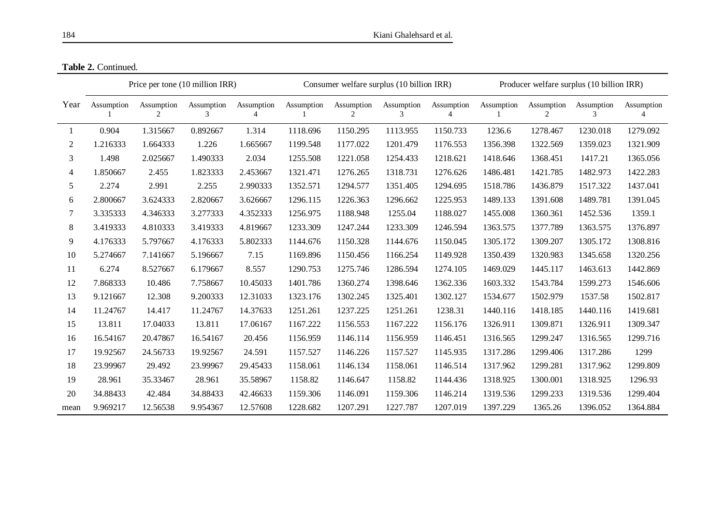|      | Price per tone (10 million IRR) |                 |                 |                 | Consumer welfare surplus (10 billion IRR) |                 |                 |                 | Producer welfare surplus (10 billion IRR) |                 |                 |            |
|------|---------------------------------|-----------------|-----------------|-----------------|-------------------------------------------|-----------------|-----------------|-----------------|-------------------------------------------|-----------------|-----------------|------------|
| Year | Assumption                      | Assumption<br>2 | Assumption<br>3 | Assumption<br>Δ | Assumption                                | Assumption<br>2 | Assumption<br>3 | Assumption<br>4 | Assumption                                | Assumption<br>2 | Assumption<br>3 | Assumption |
|      | 0.904                           | 1.315667        | 0.892667        | 1.314           | 1118.696                                  | 1150.295        | 1113.955        | 1150.733        | 1236.6                                    | 1278.467        | 1230.018        | 1279.092   |
| 2    | 1.216333                        | 1.664333        | 1.226           | 1.665667        | 1199.548                                  | 1177.022        | 1201.479        | 1176.553        | 1356.398                                  | 1322.569        | 1359.023        | 1321.909   |
| 3    | 1.498                           | 2.025667        | 1.490333        | 2.034           | 1255.508                                  | 1221.058        | 1254.433        | 1218.621        | 1418.646                                  | 1368.451        | 1417.21         | 1365.056   |
| 4    | 1.850667                        | 2.455           | 1.823333        | 2.453667        | 1321.471                                  | 1276.265        | 1318.731        | 1276.626        | 1486.481                                  | 1421.785        | 1482.973        | 1422.283   |
| 5    | 2.274                           | 2.991           | 2.255           | 2.990333        | 1352.571                                  | 1294.577        | 1351.405        | 1294.695        | 1518.786                                  | 1436.879        | 1517.322        | 1437.041   |
| 6    | 2.800667                        | 3.624333        | 2.820667        | 3.626667        | 1296.115                                  | 1226.363        | 1296.662        | 1225.953        | 1489.133                                  | 1391.608        | 1489.781        | 1391.045   |
| 7    | 3.335333                        | 4.346333        | 3.277333        | 4.352333        | 1256.975                                  | 1188.948        | 1255.04         | 1188.027        | 1455.008                                  | 1360.361        | 1452.536        | 1359.1     |
| 8    | 3.419333                        | 4.810333        | 3.419333        | 4.819667        | 1233.309                                  | 1247.244        | 1233.309        | 1246.594        | 1363.575                                  | 1377.789        | 1363.575        | 1376.897   |
| 9    | 4.176333                        | 5.797667        | 4.176333        | 5.802333        | 1144.676                                  | 1150.328        | 1144.676        | 1150.045        | 1305.172                                  | 1309.207        | 1305.172        | 1308.816   |
| 10   | 5.274667                        | 7.141667        | 5.196667        | 7.15            | 1169.896                                  | 1150.456        | 1166.254        | 1149.928        | 1350.439                                  | 1320.983        | 1345.658        | 1320.256   |
| 11   | 6.274                           | 8.527667        | 6.179667        | 8.557           | 1290.753                                  | 1275.746        | 1286.594        | 1274.105        | 1469.029                                  | 1445.117        | 1463.613        | 1442.869   |
| 12   | 7.868333                        | 10.486          | 7.758667        | 10.45033        | 1401.786                                  | 1360.274        | 1398.646        | 1362.336        | 1603.332                                  | 1543.784        | 1599.273        | 1546.606   |
| 13   | 9.121667                        | 12.308          | 9.200333        | 12.31033        | 1323.176                                  | 1302.245        | 1325.401        | 1302.127        | 1534.677                                  | 1502.979        | 1537.58         | 1502.817   |
| 14   | 11.24767                        | 14.417          | 11.24767        | 14.37633        | 1251.261                                  | 1237.225        | 1251.261        | 1238.31         | 1440.116                                  | 1418.185        | 1440.116        | 1419.681   |
| 15   | 13.811                          | 17.04033        | 13.811          | 17.06167        | 1167.222                                  | 1156.553        | 1167.222        | 1156.176        | 1326.911                                  | 1309.871        | 1326.911        | 1309.347   |
| 16   | 16.54167                        | 20.47867        | 16.54167        | 20.456          | 1156.959                                  | 1146.114        | 1156.959        | 1146.451        | 1316.565                                  | 1299.247        | 1316.565        | 1299.716   |
| 17   | 19.92567                        | 24.56733        | 19.92567        | 24.591          | 1157.527                                  | 1146.226        | 1157.527        | 1145.935        | 1317.286                                  | 1299.406        | 1317.286        | 1299       |
| 18   | 23.99967                        | 29.492          | 23.99967        | 29.45433        | 1158.061                                  | 1146.134        | 1158.061        | 1146.514        | 1317.962                                  | 1299.281        | 1317.962        | 1299.809   |
| 19   | 28.961                          | 35.33467        | 28.961          | 35.58967        | 1158.82                                   | 1146.647        | 1158.82         | 1144.436        | 1318.925                                  | 1300.001        | 1318.925        | 1296.93    |
| 20   | 34.88433                        | 42.484          | 34.88433        | 42.46633        | 1159.306                                  | 1146.091        | 1159.306        | 1146.214        | 1319.536                                  | 1299.233        | 1319.536        | 1299.404   |
| mean | 9.969217                        | 12.56538        | 9.954367        | 12.57608        | 1228.682                                  | 1207.291        | 1227.787        | 1207.019        | 1397.229                                  | 1365.26         | 1396.052        | 1364.884   |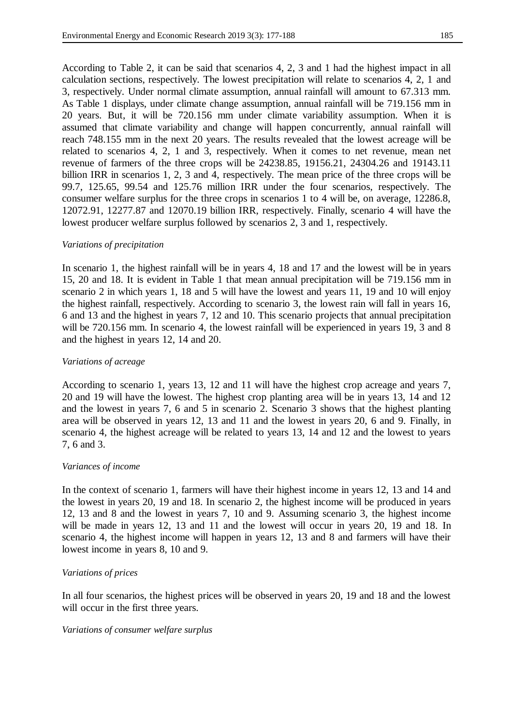According to Table 2, it can be said that scenarios 4, 2, 3 and 1 had the highest impact in all calculation sections, respectively. The lowest precipitation will relate to scenarios 4, 2, 1 and 3, respectively. Under normal climate assumption, annual rainfall will amount to 67.313 mm. As Table 1 displays, under climate change assumption, annual rainfall will be 719.156 mm in 20 years. But, it will be 720.156 mm under climate variability assumption. When it is assumed that climate variability and change will happen concurrently, annual rainfall will reach 748.155 mm in the next 20 years. The results revealed that the lowest acreage will be related to scenarios 4, 2, 1 and 3, respectively. When it comes to net revenue, mean net revenue of farmers of the three crops will be 24238.85, 19156.21, 24304.26 and 19143.11 billion IRR in scenarios 1, 2, 3 and 4, respectively. The mean price of the three crops will be 99.7, 125.65, 99.54 and 125.76 million IRR under the four scenarios, respectively. The consumer welfare surplus for the three crops in scenarios 1 to 4 will be, on average, 12286.8, 12072.91, 12277.87 and 12070.19 billion IRR, respectively. Finally, scenario 4 will have the lowest producer welfare surplus followed by scenarios 2, 3 and 1, respectively.

# *Variations of precipitation*

In scenario 1, the highest rainfall will be in years 4, 18 and 17 and the lowest will be in years 15, 20 and 18. It is evident in Table 1 that mean annual precipitation will be 719.156 mm in scenario 2 in which years 1, 18 and 5 will have the lowest and years 11, 19 and 10 will enjoy the highest rainfall, respectively. According to scenario 3, the lowest rain will fall in years 16, 6 and 13 and the highest in years 7, 12 and 10. This scenario projects that annual precipitation will be 720.156 mm. In scenario 4, the lowest rainfall will be experienced in years 19, 3 and 8 and the highest in years 12, 14 and 20.

# *Variations of acreage*

According to scenario 1, years 13, 12 and 11 will have the highest crop acreage and years 7, 20 and 19 will have the lowest. The highest crop planting area will be in years 13, 14 and 12 and the lowest in years 7, 6 and 5 in scenario 2. Scenario 3 shows that the highest planting area will be observed in years 12, 13 and 11 and the lowest in years 20, 6 and 9. Finally, in scenario 4, the highest acreage will be related to years 13, 14 and 12 and the lowest to years 7, 6 and 3.

# *Variances of income*

In the context of scenario 1, farmers will have their highest income in years 12, 13 and 14 and the lowest in years 20, 19 and 18. In scenario 2, the highest income will be produced in years 12, 13 and 8 and the lowest in years 7, 10 and 9. Assuming scenario 3, the highest income will be made in years 12, 13 and 11 and the lowest will occur in years 20, 19 and 18. In scenario 4, the highest income will happen in years 12, 13 and 8 and farmers will have their lowest income in years 8, 10 and 9.

# *Variations of prices*

In all four scenarios, the highest prices will be observed in years 20, 19 and 18 and the lowest will occur in the first three years.

### *Variations of consumer welfare surplus*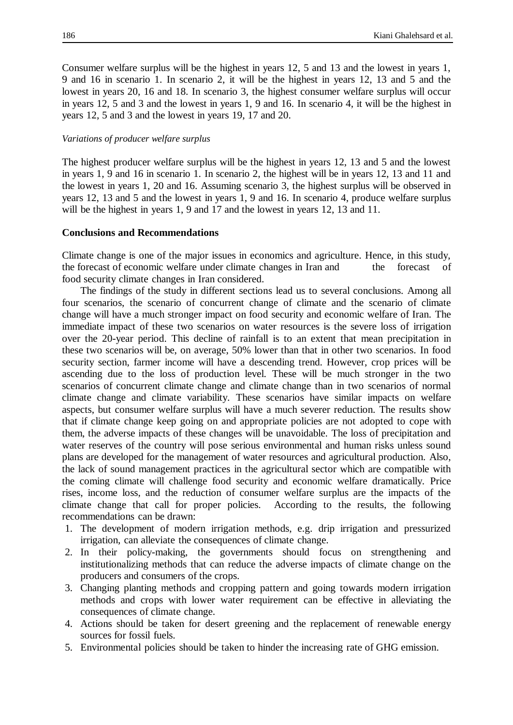Consumer welfare surplus will be the highest in years 12, 5 and 13 and the lowest in years 1, 9 and 16 in scenario 1. In scenario 2, it will be the highest in years 12, 13 and 5 and the lowest in years 20, 16 and 18. In scenario 3, the highest consumer welfare surplus will occur in years 12, 5 and 3 and the lowest in years 1, 9 and 16. In scenario 4, it will be the highest in years 12, 5 and 3 and the lowest in years 19, 17 and 20.

# *Variations of producer welfare surplus*

The highest producer welfare surplus will be the highest in years 12, 13 and 5 and the lowest in years 1, 9 and 16 in scenario 1. In scenario 2, the highest will be in years 12, 13 and 11 and the lowest in years 1, 20 and 16. Assuming scenario 3, the highest surplus will be observed in years 12, 13 and 5 and the lowest in years 1, 9 and 16. In scenario 4, produce welfare surplus will be the highest in years 1, 9 and 17 and the lowest in years 12, 13 and 11.

# **Conclusions and Recommendations**

Climate change is one of the major issues in economics and agriculture. Hence, in this study, the forecast of economic welfare under climate changes in Iran and the forecast of food security climate changes in Iran considered.

The findings of the study in different sections lead us to several conclusions. Among all four scenarios, the scenario of concurrent change of climate and the scenario of climate change will have a much stronger impact on food security and economic welfare of Iran. The immediate impact of these two scenarios on water resources is the severe loss of irrigation over the 20-year period. This decline of rainfall is to an extent that mean precipitation in these two scenarios will be, on average, 50% lower than that in other two scenarios. In food security section, farmer income will have a descending trend. However, crop prices will be ascending due to the loss of production level. These will be much stronger in the two scenarios of concurrent climate change and climate change than in two scenarios of normal climate change and climate variability. These scenarios have similar impacts on welfare aspects, but consumer welfare surplus will have a much severer reduction. The results show that if climate change keep going on and appropriate policies are not adopted to cope with them, the adverse impacts of these changes will be unavoidable. The loss of precipitation and water reserves of the country will pose serious environmental and human risks unless sound plans are developed for the management of water resources and agricultural production. Also, the lack of sound management practices in the agricultural sector which are compatible with the coming climate will challenge food security and economic welfare dramatically. Price rises, income loss, and the reduction of consumer welfare surplus are the impacts of the climate change that call for proper policies. According to the results, the following recommendations can be drawn:

- 1. The development of modern irrigation methods, e.g. drip irrigation and pressurized irrigation, can alleviate the consequences of climate change.
- 2. In their policy-making, the governments should focus on strengthening and institutionalizing methods that can reduce the adverse impacts of climate change on the producers and consumers of the crops.
- 3. Changing planting methods and cropping pattern and going towards modern irrigation methods and crops with lower water requirement can be effective in alleviating the consequences of climate change.
- 4. Actions should be taken for desert greening and the replacement of renewable energy sources for fossil fuels.
- 5. Environmental policies should be taken to hinder the increasing rate of GHG emission.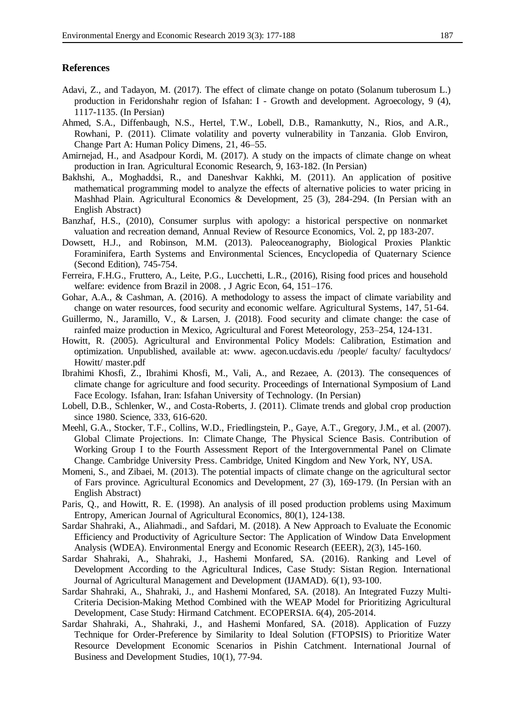# **References**

- Adavi, Z., and Tadayon, M. (2017). The effect of climate change on potato (Solanum tuberosum L.) production in Feridonshahr region of Isfahan: I - Growth and development. Agroecology, 9 (4), 1117-1135. (In Persian)
- Ahmed, S.A., Diffenbaugh, N.S., Hertel, T.W., Lobell, D.B., Ramankutty, N., Rios, and A.R., Rowhani, P. (2011). Climate volatility and poverty vulnerability in Tanzania. Glob Environ, Change Part A: Human Policy Dimens, 21, 46–55.
- Amirnejad, H., and Asadpour Kordi, M. (2017). A study on the impacts of climate change on wheat production in Iran. Agricultural Economic Research, 9, 163-182. (In Persian)
- Bakhshi, A., Moghaddsi, R., and Daneshvar Kakhki, M. (2011). An application of positive mathematical programming model to analyze the effects of alternative policies to water pricing in Mashhad Plain. Agricultural Economics & Development, 25 (3), 284-294. (In Persian with an English Abstract)
- Banzhaf, H.S., (2010), Consumer surplus with apology: a historical perspective on nonmarket valuation and recreation demand, Annual Review of Resource Economics, Vol. 2, pp 183-207.
- Dowsett, H.J., and Robinson, M.M. (2013). Paleoceanography, Biological Proxies Planktic Foraminifera, Earth Systems and Environmental Sciences, Encyclopedia of Quaternary Science (Second Edition), 745-754.
- Ferreira, F.H.G., Fruttero, A., Leite, P.G., Lucchetti, L.R., (2016), Rising food prices and household welfare: evidence from Brazil in 2008. , J Agric Econ, 64, 151–176.
- Gohar, A.A., & Cashman, A. (2016). A methodology to assess the impact of climate variability and change on water resources, food security and economic welfare. Agricultural Systems, 147, 51-64.
- Guillermo, N., Jaramillo, V., & Larsen, J. (2018). Food security and climate change: the case of rainfed maize production in Mexico, Agricultural and Forest Meteorology, 253–254, 124-131.
- Howitt, R. (2005). Agricultural and Environmental Policy Models: Calibration, Estimation and optimization. Unpublished, available at: www. agecon.ucdavis.edu /people/ faculty/ facultydocs/ Howitt/ master.pdf
- Ibrahimi Khosfi, Z., Ibrahimi Khosfi, M., Vali, A., and Rezaee, A. (2013). The consequences of climate change for agriculture and food security. Proceedings of International Symposium of Land Face Ecology. Isfahan, Iran: Isfahan University of Technology. (In Persian)
- Lobell, D.B., Schlenker, W., and Costa-Roberts, J. (2011). Climate trends and global crop production since 1980. Science, 333, 616-620.
- Meehl, G.A., Stocker, T.F., Collins, W.D., Friedlingstein, P., Gaye, A.T., Gregory, J.M., et al. (2007). Global Climate Projections. In: Climate Change, The Physical Science Basis. Contribution of Working Group I to the Fourth Assessment Report of the Intergovernmental Panel on Climate Change. Cambridge University Press. Cambridge, United Kingdom and New York, NY, USA.
- Momeni, S., and Zibaei, M. (2013). The potential impacts of climate change on the agricultural sector of Fars province. Agricultural Economics and Development, 27 (3), 169-179. (In Persian with an English Abstract)
- Paris, Q., and Howitt, R. E. (1998). An analysis of ill posed production problems using Maximum Entropy, American Journal of Agricultural Economics, 80(1), 124-138.
- Sardar Shahraki, A., Aliahmadi., and Safdari, M. (2018). A New Approach to Evaluate the Economic Efficiency and Productivity of Agriculture Sector: The Application of Window Data Envelopment Analysis (WDEA). Environmental Energy and Economic Research (EEER), 2(3), 145-160.
- Sardar Shahraki, A., Shahraki, J., Hashemi Monfared, SA. (2016). Ranking and Level of Development According to the Agricultural Indices, Case Study: Sistan Region. International Journal of Agricultural Management and Development (IJAMAD). 6(1), 93-100.
- Sardar Shahraki, A., Shahraki, J., and Hashemi Monfared, SA. (2018). An Integrated Fuzzy Multi-Criteria Decision-Making Method Combined with the WEAP Model for Prioritizing Agricultural Development, Case Study: Hirmand Catchment. ECOPERSIA. 6(4), 205-2014.
- Sardar Shahraki, A., Shahraki, J., and Hashemi Monfared, SA. (2018). Application of Fuzzy Technique for Order-Preference by Similarity to Ideal Solution (FTOPSIS) to Prioritize Water Resource Development Economic Scenarios in Pishin Catchment. International Journal of Business and Development Studies, 10(1), 77-94.